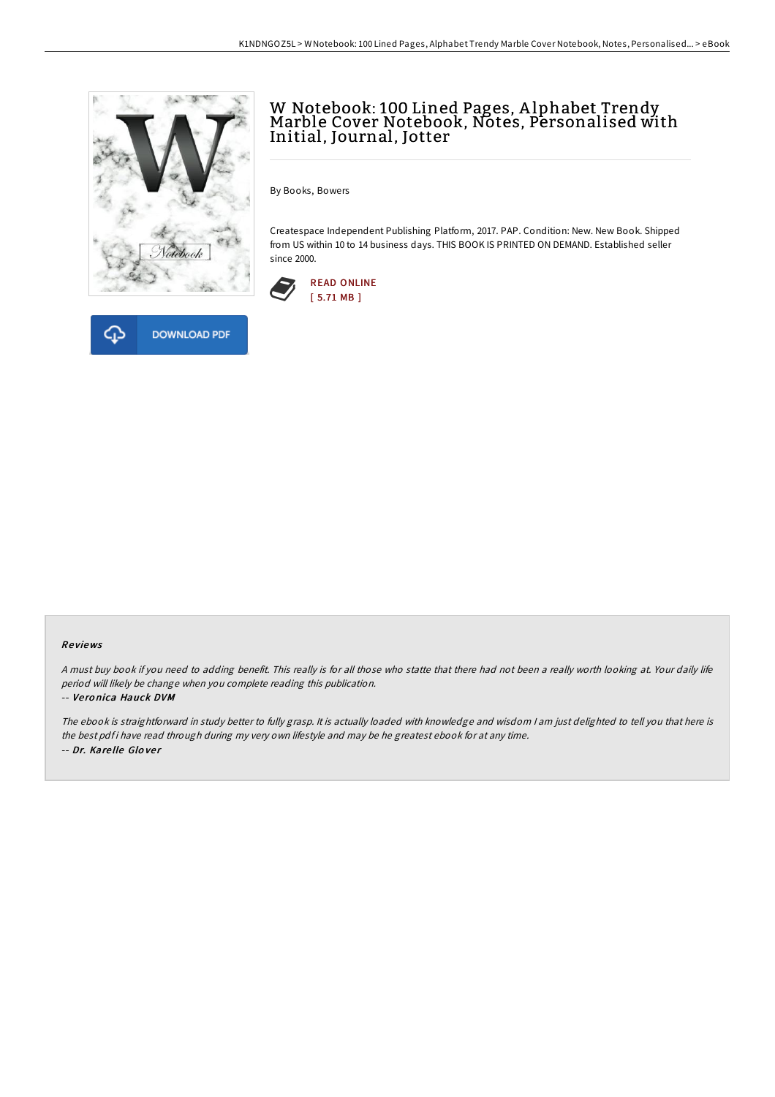



# W Notebook: 100 Lined Pages, Alphabet Trendy<br>Marble Cover Notebook, Notes, Personalised with Initial, Journal, Jotter

By Books, Bowers

Createspace Independent Publishing Platform, 2017. PAP. Condition: New. New Book. Shipped from US within 10 to 14 business days. THIS BOOK IS PRINTED ON DEMAND. Established seller since 2000.



#### Re views

<sup>A</sup> must buy book if you need to adding benefit. This really is for all those who statte that there had not been <sup>a</sup> really worth looking at. Your daily life period will likely be change when you complete reading this publication.

#### -- Ve ro nica Hauck DVM

The ebook is straightforward in study better to fully grasp. It is actually loaded with knowledge and wisdom <sup>I</sup> am just delighted to tell you that here is the best pdf i have read through during my very own lifestyle and may be he greatest ebook for at any time. -- Dr. Kare lle Glo ve <sup>r</sup>